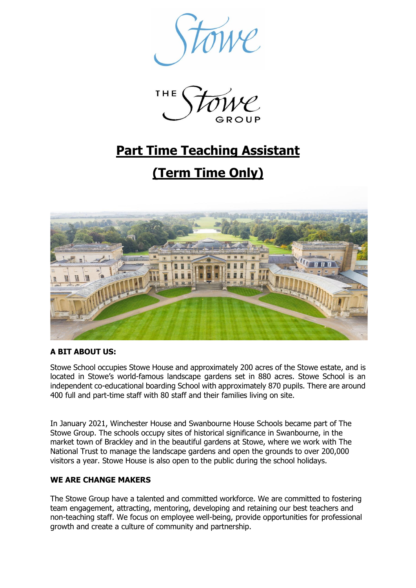



# **Part Time Teaching Assistant**

# **(Term Time Only)**



# **A BIT ABOUT US:**

Stowe School occupies Stowe House and approximately 200 acres of the Stowe estate, and is located in Stowe's world-famous landscape gardens set in 880 acres. Stowe School is an independent co-educational boarding School with approximately 870 pupils. There are around 400 full and part-time staff with 80 staff and their families living on site.

In January 2021, Winchester House and Swanbourne House Schools became part of The Stowe Group. The schools occupy sites of historical significance in Swanbourne, in the market town of Brackley and in the beautiful gardens at Stowe, where we work with The National Trust to manage the landscape gardens and open the grounds to over 200,000 visitors a year. Stowe House is also open to the public during the school holidays.

# **WE ARE CHANGE MAKERS**

The Stowe Group have a talented and committed workforce. We are committed to fostering team engagement, attracting, mentoring, developing and retaining our best teachers and non-teaching staff. We focus on employee well-being, provide opportunities for professional growth and create a culture of community and partnership.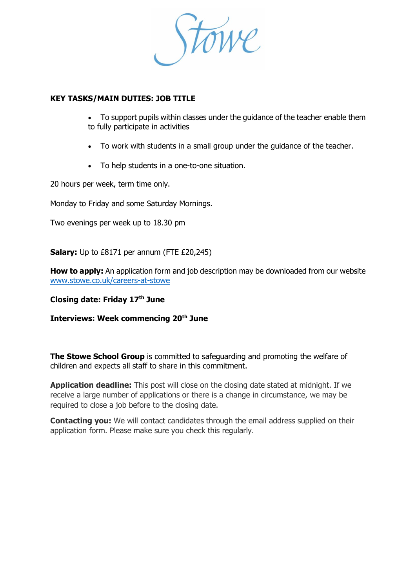Stowe

# **KEY TASKS/MAIN DUTIES: JOB TITLE**

- To support pupils within classes under the guidance of the teacher enable them to fully participate in activities
- To work with students in a small group under the guidance of the teacher.
- To help students in a one-to-one situation.

20 hours per week, term time only.

Monday to Friday and some Saturday Mornings.

Two evenings per week up to 18.30 pm

**Salary:** Up to £8171 per annum (FTE £20,245)

**How to apply:** An application form and job description may be downloaded from our website [www.stowe.co.uk/careers-at-stowe](http://www.stowe.co.uk/careers-at-stowe)

# **Closing date: Friday 17th June**

**Interviews: Week commencing 20th June**

**The Stowe School Group** is committed to safeguarding and promoting the welfare of children and expects all staff to share in this commitment.

**Application deadline:** This post will close on the closing date stated at midnight. If we receive a large number of applications or there is a change in circumstance, we may be required to close a job before to the closing date.

**Contacting you:** We will contact candidates through the email address supplied on their application form. Please make sure you check this regularly.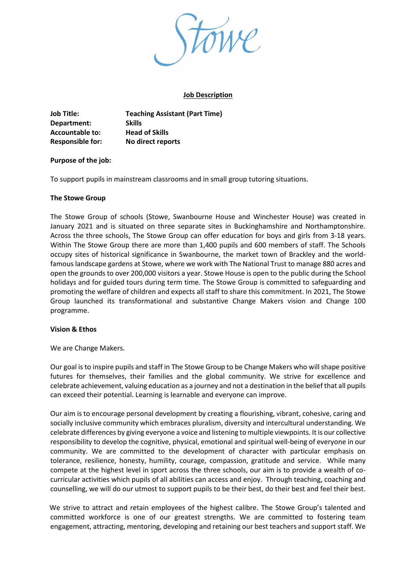

#### **Job Description**

**Job Title: Teaching Assistant (Part Time) Department: Skills Accountable to: Head of Skills Responsible for: No direct reports**

#### **Purpose of the job:**

To support pupils in mainstream classrooms and in small group tutoring situations.

#### **The Stowe Group**

The Stowe Group of schools (Stowe, Swanbourne House and Winchester House) was created in January 2021 and is situated on three separate sites in Buckinghamshire and Northamptonshire. Across the three schools, The Stowe Group can offer education for boys and girls from 3-18 years. Within The Stowe Group there are more than 1,400 pupils and 600 members of staff. The Schools occupy sites of historical significance in Swanbourne, the market town of Brackley and the worldfamous landscape gardens at Stowe, where we work with The National Trust to manage 880 acres and open the grounds to over 200,000 visitors a year. Stowe House is open to the public during the School holidays and for guided tours during term time. The Stowe Group is committed to safeguarding and promoting the welfare of children and expects all staff to share this commitment. In 2021, The Stowe Group launched its transformational and substantive Change Makers vision and Change 100 programme.

#### **Vision & Ethos**

We are Change Makers.

Our goal is to inspire pupils and staff in The Stowe Group to be Change Makers who will shape positive futures for themselves, their families and the global community. We strive for excellence and celebrate achievement, valuing education as a journey and not a destination in the belief that all pupils can exceed their potential. Learning is learnable and everyone can improve.

Our aim is to encourage personal development by creating a flourishing, vibrant, cohesive, caring and socially inclusive community which embraces pluralism, diversity and intercultural understanding. We celebrate differences by giving everyone a voice and listening to multiple viewpoints. It is our collective responsibility to develop the cognitive, physical, emotional and spiritual well-being of everyone in our community. We are committed to the development of character with particular emphasis on tolerance, resilience, honesty, humility, courage, compassion, gratitude and service. While many compete at the highest level in sport across the three schools, our aim is to provide a wealth of cocurricular activities which pupils of all abilities can access and enjoy. Through teaching, coaching and counselling, we will do our utmost to support pupils to be their best, do their best and feel their best.

We strive to attract and retain employees of the highest calibre. The Stowe Group's talented and committed workforce is one of our greatest strengths. We are committed to fostering team engagement, attracting, mentoring, developing and retaining our best teachers and support staff. We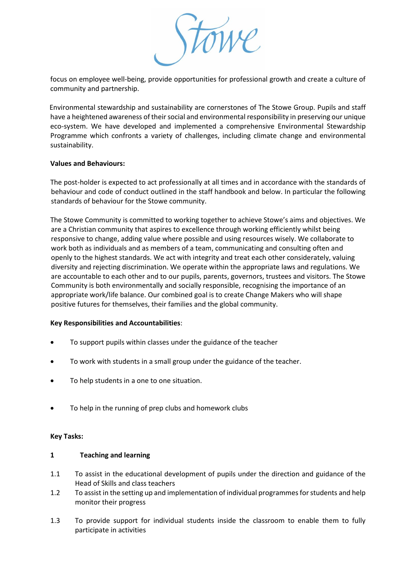

focus on employee well-being, provide opportunities for professional growth and create a culture of community and partnership.

Environmental stewardship and sustainability are cornerstones of The Stowe Group. Pupils and staff have a heightened awareness of their social and environmental responsibility in preserving our unique eco-system. We have developed and implemented a comprehensive Environmental Stewardship Programme which confronts a variety of challenges, including climate change and environmental sustainability.

#### **Values and Behaviours:**

The post-holder is expected to act professionally at all times and in accordance with the standards of behaviour and code of conduct outlined in the staff handbook and below. In particular the following standards of behaviour for the Stowe community.

The Stowe Community is committed to working together to achieve Stowe's aims and objectives. We are a Christian community that aspires to excellence through working efficiently whilst being responsive to change, adding value where possible and using resources wisely. We collaborate to work both as individuals and as members of a team, communicating and consulting often and openly to the highest standards. We act with integrity and treat each other considerately, valuing diversity and rejecting discrimination. We operate within the appropriate laws and regulations. We are accountable to each other and to our pupils, parents, governors, trustees and visitors. The Stowe Community is both environmentally and socially responsible, recognising the importance of an appropriate work/life balance. Our combined goal is to create Change Makers who will shape positive futures for themselves, their families and the global community.

#### **Key Responsibilities and Accountabilities**:

- To support pupils within classes under the guidance of the teacher
- To work with students in a small group under the guidance of the teacher.
- To help students in a one to one situation.
- To help in the running of prep clubs and homework clubs

#### **Key Tasks:**

#### **1 Teaching and learning**

- 1.1 To assist in the educational development of pupils under the direction and guidance of the Head of Skills and class teachers
- 1.2 To assist in the setting up and implementation of individual programmes for students and help monitor their progress
- 1.3 To provide support for individual students inside the classroom to enable them to fully participate in activities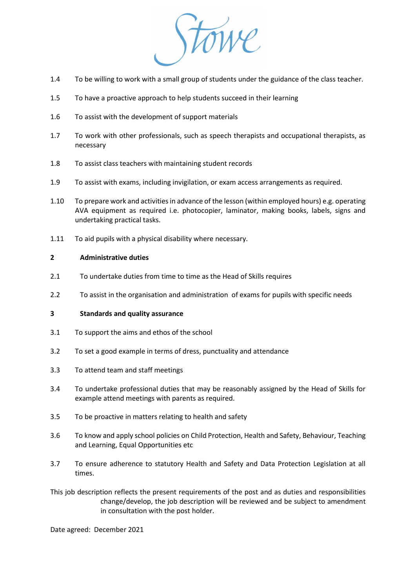

- 1.4 To be willing to work with a small group of students under the guidance of the class teacher.
- 1.5 To have a proactive approach to help students succeed in their learning
- 1.6 To assist with the development of support materials
- 1.7 To work with other professionals, such as speech therapists and occupational therapists, as necessary
- 1.8 To assist class teachers with maintaining student records
- 1.9 To assist with exams, including invigilation, or exam access arrangements as required.
- 1.10 To prepare work and activities in advance of the lesson (within employed hours) e.g. operating AVA equipment as required i.e. photocopier, laminator, making books, labels, signs and undertaking practical tasks.
- 1.11 To aid pupils with a physical disability where necessary.

#### **2 Administrative duties**

- 2.1 To undertake duties from time to time as the Head of Skills requires
- 2.2 To assist in the organisation and administration of exams for pupils with specific needs

#### **3 Standards and quality assurance**

- 3.1 To support the aims and ethos of the school
- 3.2 To set a good example in terms of dress, punctuality and attendance
- 3.3 To attend team and staff meetings
- 3.4 To undertake professional duties that may be reasonably assigned by the Head of Skills for example attend meetings with parents as required.
- 3.5 To be proactive in matters relating to health and safety
- 3.6 To know and apply school policies on Child Protection, Health and Safety, Behaviour, Teaching and Learning, Equal Opportunities etc
- 3.7 To ensure adherence to statutory Health and Safety and Data Protection Legislation at all times.

This job description reflects the present requirements of the post and as duties and responsibilities change/develop, the job description will be reviewed and be subject to amendment in consultation with the post holder.

Date agreed: December 2021